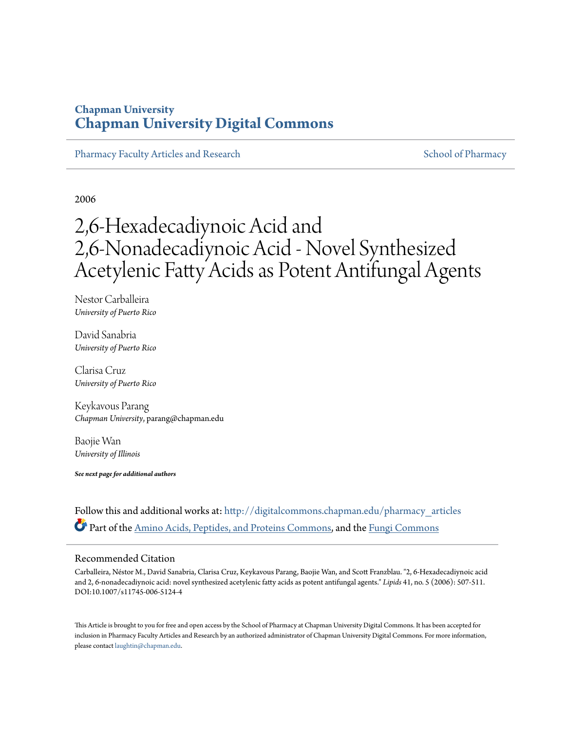# **Chapman University [Chapman University Digital Commons](http://digitalcommons.chapman.edu?utm_source=digitalcommons.chapman.edu%2Fpharmacy_articles%2F71&utm_medium=PDF&utm_campaign=PDFCoverPages)**

[Pharmacy Faculty Articles and Research](http://digitalcommons.chapman.edu/pharmacy_articles?utm_source=digitalcommons.chapman.edu%2Fpharmacy_articles%2F71&utm_medium=PDF&utm_campaign=PDFCoverPages) [School of Pharmacy](http://digitalcommons.chapman.edu/cusp?utm_source=digitalcommons.chapman.edu%2Fpharmacy_articles%2F71&utm_medium=PDF&utm_campaign=PDFCoverPages) School of Pharmacy

2006

# 2,6-Hexadecadiynoic Acid and 2,6-Nonadecadiynoic Acid - Novel Synthesized Acetylenic Fatty Acids as Potent Antifungal Agents

Nestor Carballeira *University of Puerto Rico*

David Sanabria *University of Puerto Rico*

Clarisa Cruz *University of Puerto Rico*

Keykavous Parang *Chapman University*, parang@chapman.edu

Baojie Wan *University of Illinois*

*See next page for additional authors*

Follow this and additional works at: [http://digitalcommons.chapman.edu/pharmacy\\_articles](http://digitalcommons.chapman.edu/pharmacy_articles?utm_source=digitalcommons.chapman.edu%2Fpharmacy_articles%2F71&utm_medium=PDF&utm_campaign=PDFCoverPages) Part of the [Amino Acids, Peptides, and Proteins Commons](http://network.bepress.com/hgg/discipline/954?utm_source=digitalcommons.chapman.edu%2Fpharmacy_articles%2F71&utm_medium=PDF&utm_campaign=PDFCoverPages), and the [Fungi Commons](http://network.bepress.com/hgg/discipline/962?utm_source=digitalcommons.chapman.edu%2Fpharmacy_articles%2F71&utm_medium=PDF&utm_campaign=PDFCoverPages)

#### Recommended Citation

Carballeira, Néstor M., David Sanabria, Clarisa Cruz, Keykavous Parang, Baojie Wan, and Scott Franzblau. "2, 6-Hexadecadiynoic acid and 2, 6-nonadecadiynoic acid: novel synthesized acetylenic fatty acids as potent antifungal agents." *Lipids* 41, no. 5 (2006): 507-511. DOI:10.1007/s11745-006-5124-4

This Article is brought to you for free and open access by the School of Pharmacy at Chapman University Digital Commons. It has been accepted for inclusion in Pharmacy Faculty Articles and Research by an authorized administrator of Chapman University Digital Commons. For more information, please contact [laughtin@chapman.edu.](mailto:laughtin@chapman.edu)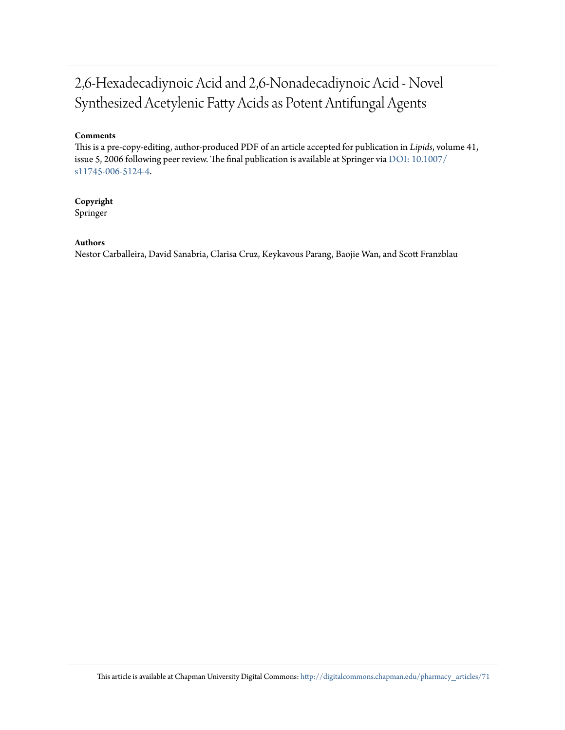# 2,6-Hexadecadiynoic Acid and 2,6-Nonadecadiynoic Acid - Novel Synthesized Acetylenic Fatty Acids as Potent Antifungal Agents

### **Comments**

This is a pre-copy-editing, author-produced PDF of an article accepted for publication in *Lipids*, volume 41, issue 5, 2006 following peer review. The final publication is available at Springer via [DOI: 10.1007/](http://dx.doi.org/10.1007/s11745-006-5124-4) [s11745-006-5124-4](http://dx.doi.org/10.1007/s11745-006-5124-4).

## **Copyright**

Springer

### **Authors**

Nestor Carballeira, David Sanabria, Clarisa Cruz, Keykavous Parang, Baojie Wan, and Scott Franzblau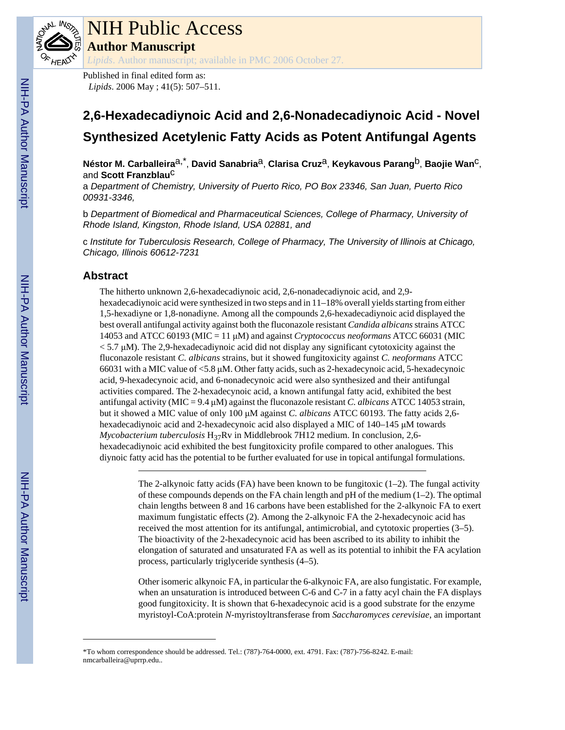

# NIH Public Access **Author Manuscript**

*Lipids*. Author manuscript; available in PMC 2006 October 27.

Published in final edited form as: *Lipids*. 2006 May ; 41(5): 507–511.

# **2,6-Hexadecadiynoic Acid and 2,6-Nonadecadiynoic Acid - Novel Synthesized Acetylenic Fatty Acids as Potent Antifungal Agents**

**Néstor M. Carballeira**a,\* , **David Sanabria**a, **Clarisa Cruz**a, **Keykavous Parang**b, **Baojie Wan**c, and **Scott Franzblau**c

a *Department of Chemistry, University of Puerto Rico, PO Box 23346, San Juan, Puerto Rico 00931-3346,*

b *Department of Biomedical and Pharmaceutical Sciences, College of Pharmacy, University of Rhode Island, Kingston, Rhode Island, USA 02881, and*

c *Institute for Tuberculosis Research, College of Pharmacy, The University of Illinois at Chicago, Chicago, Illinois 60612-7231*

# **Abstract**

The hitherto unknown 2,6-hexadecadiynoic acid, 2,6-nonadecadiynoic acid, and 2,9 hexadecadiynoic acid were synthesized in two steps and in 11–18% overall yields starting from either 1,5-hexadiyne or 1,8-nonadiyne. Among all the compounds 2,6-hexadecadiynoic acid displayed the best overall antifungal activity against both the fluconazole resistant *Candida albicans* strains ATCC 14053 and ATCC 60193 (MIC = 11 μM) and against *Cryptococcus neoformans* ATCC 66031 (MIC  $< 5.7 \mu M$ ). The 2,9-hexadecadiynoic acid did not display any significant cytotoxicity against the fluconazole resistant *C. albicans* strains, but it showed fungitoxicity against *C. neoformans* ATCC 66031 with a MIC value of <5.8 μM. Other fatty acids, such as 2-hexadecynoic acid, 5-hexadecynoic acid, 9-hexadecynoic acid, and 6-nonadecynoic acid were also synthesized and their antifungal activities compared. The 2-hexadecynoic acid, a known antifungal fatty acid, exhibited the best antifungal activity (MIC = 9.4 μM) against the fluconazole resistant *C. albicans* ATCC 14053 strain, but it showed a MIC value of only 100 μM against *C. albicans* ATCC 60193. The fatty acids 2,6 hexadecadiynoic acid and 2-hexadecynoic acid also displayed a MIC of 140–145 μM towards *Mycobacterium tuberculosis* H<sub>37</sub>Rv in Middlebrook 7H12 medium. In conclusion, 2,6hexadecadiynoic acid exhibited the best fungitoxicity profile compared to other analogues. This diynoic fatty acid has the potential to be further evaluated for use in topical antifungal formulations.

> The 2-alkynoic fatty acids (FA) have been known to be fungitoxic  $(1-2)$ . The fungal activity of these compounds depends on the FA chain length and pH of the medium  $(1-2)$ . The optimal chain lengths between 8 and 16 carbons have been established for the 2-alkynoic FA to exert maximum fungistatic effects (2). Among the 2-alkynoic FA the 2-hexadecynoic acid has received the most attention for its antifungal, antimicrobial, and cytotoxic properties (3–5). The bioactivity of the 2-hexadecynoic acid has been ascribed to its ability to inhibit the elongation of saturated and unsaturated FA as well as its potential to inhibit the FA acylation process, particularly triglyceride synthesis (4–5).

> Other isomeric alkynoic FA, in particular the 6-alkynoic FA, are also fungistatic. For example, when an unsaturation is introduced between C-6 and C-7 in a fatty acyl chain the FA displays good fungitoxicity. It is shown that 6-hexadecynoic acid is a good substrate for the enzyme myristoyl-CoA:protein *N*-myristoyltransferase from *Saccharomyces cerevisiae*, an important

<sup>\*</sup>To whom correspondence should be addressed. Tel.: (787)-764-0000, ext. 4791. Fax: (787)-756-8242. E-mail: nmcarballeira@uprrp.edu..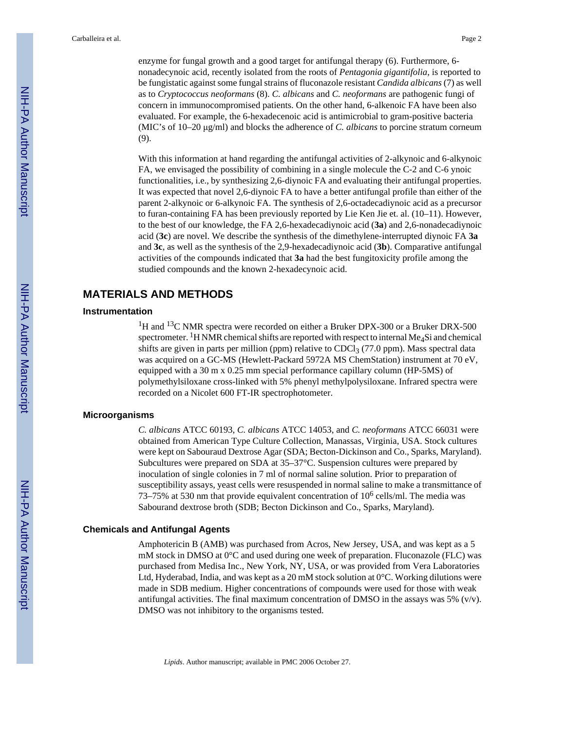enzyme for fungal growth and a good target for antifungal therapy (6). Furthermore, 6 nonadecynoic acid, recently isolated from the roots of *Pentagonia gigantifolia*, is reported to be fungistatic against some fungal strains of fluconazole resistant *Candida albicans* (7) as well as to *Cryptococcus neoformans* (8). *C. albicans* and *C. neoformans* are pathogenic fungi of concern in immunocompromised patients. On the other hand, 6-alkenoic FA have been also evaluated. For example, the 6-hexadecenoic acid is antimicrobial to gram-positive bacteria (MIC's of 10–20 μg/ml) and blocks the adherence of *C. albicans* to porcine stratum corneum (9).

With this information at hand regarding the antifungal activities of 2-alkynoic and 6-alkynoic FA, we envisaged the possibility of combining in a single molecule the C-2 and C-6 ynoic functionalities, i.e., by synthesizing 2,6-diynoic FA and evaluating their antifungal properties. It was expected that novel 2,6-diynoic FA to have a better antifungal profile than either of the parent 2-alkynoic or 6-alkynoic FA. The synthesis of 2,6-octadecadiynoic acid as a precursor to furan-containing FA has been previously reported by Lie Ken Jie et. al. (10–11). However, to the best of our knowledge, the FA 2,6-hexadecadiynoic acid (**3a**) and 2,6-nonadecadiynoic acid (**3c**) are novel. We describe the synthesis of the dimethylene-interrupted diynoic FA **3a** and **3c**, as well as the synthesis of the 2,9-hexadecadiynoic acid (**3b**). Comparative antifungal activities of the compounds indicated that **3a** had the best fungitoxicity profile among the studied compounds and the known 2-hexadecynoic acid.

## **MATERIALS AND METHODS**

#### **Instrumentation**

<sup>1</sup>H and <sup>13</sup>C NMR spectra were recorded on either a Bruker DPX-300 or a Bruker DRX-500 spectrometer. <sup>1</sup>H NMR chemical shifts are reported with respect to internal Me<sub>4</sub>Si and chemical shifts are given in parts per million (ppm) relative to  $CDCl<sub>3</sub>$  (77.0 ppm). Mass spectral data was acquired on a GC-MS (Hewlett-Packard 5972A MS ChemStation) instrument at 70 eV, equipped with a 30 m x 0.25 mm special performance capillary column (HP-5MS) of polymethylsiloxane cross-linked with 5% phenyl methylpolysiloxane. Infrared spectra were recorded on a Nicolet 600 FT-IR spectrophotometer.

#### **Microorganisms**

*C. albicans* ATCC 60193, *C. albicans* ATCC 14053, and *C. neoformans* ATCC 66031 were obtained from American Type Culture Collection, Manassas, Virginia, USA. Stock cultures were kept on Sabouraud Dextrose Agar (SDA; Becton-Dickinson and Co., Sparks, Maryland). Subcultures were prepared on SDA at 35–37°C. Suspension cultures were prepared by inoculation of single colonies in 7 ml of normal saline solution. Prior to preparation of susceptibility assays, yeast cells were resuspended in normal saline to make a transmittance of 73–75% at 530 nm that provide equivalent concentration of  $10^6$  cells/ml. The media was Sabourand dextrose broth (SDB; Becton Dickinson and Co., Sparks, Maryland).

#### **Chemicals and Antifungal Agents**

Amphotericin B (AMB) was purchased from Acros, New Jersey, USA, and was kept as a 5 mM stock in DMSO at 0°C and used during one week of preparation. Fluconazole (FLC) was purchased from Medisa Inc., New York, NY, USA, or was provided from Vera Laboratories Ltd, Hyderabad, India, and was kept as a 20 mM stock solution at 0°C. Working dilutions were made in SDB medium. Higher concentrations of compounds were used for those with weak antifungal activities. The final maximum concentration of DMSO in the assays was 5%  $(v/v)$ . DMSO was not inhibitory to the organisms tested.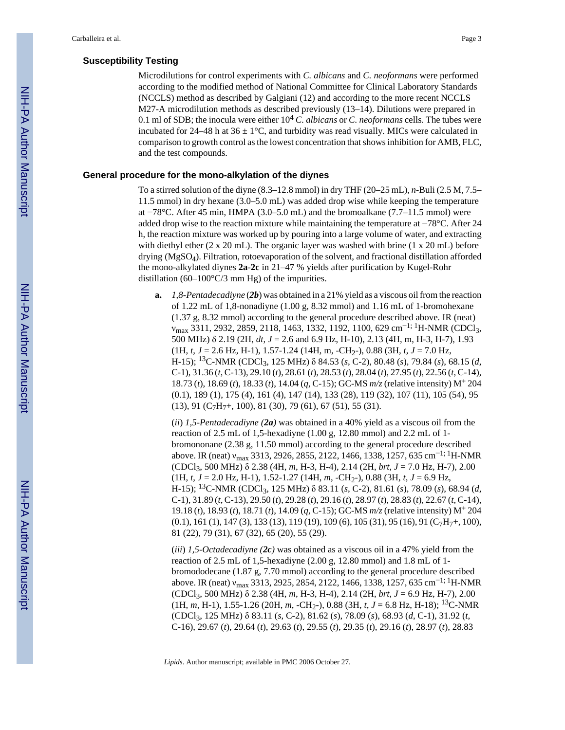#### **Susceptibility Testing**

Microdilutions for control experiments with *C. albicans* and *C. neoformans* were performed according to the modified method of National Committee for Clinical Laboratory Standards (NCCLS) method as described by Galgiani (12) and according to the more recent NCCLS M27-A microdilution methods as described previously (13–14). Dilutions were prepared in 0.1 ml of SDB; the inocula were either  $10^4$  *C. albicans* or *C. neoformans* cells. The tubes were incubated for 24–48 h at  $36 \pm 1$ °C, and turbidity was read visually. MICs were calculated in comparison to growth control as the lowest concentration that shows inhibition for AMB, FLC, and the test compounds.

#### **General procedure for the mono-alkylation of the diynes**

To a stirred solution of the diyne (8.3–12.8 mmol) in dry THF (20–25 mL), *n*-Buli (2.5 M, 7.5– 11.5 mmol) in dry hexane (3.0–5.0 mL) was added drop wise while keeping the temperature at −78°C. After 45 min, HMPA (3.0–5.0 mL) and the bromoalkane (7.7–11.5 mmol) were added drop wise to the reaction mixture while maintaining the temperature at −78°C. After 24 h, the reaction mixture was worked up by pouring into a large volume of water, and extracting with diethyl ether  $(2 \times 20 \text{ mL})$ . The organic layer was washed with brine  $(1 \times 20 \text{ mL})$  before drying (MgSO4). Filtration, rotoevaporation of the solvent, and fractional distillation afforded the mono-alkylated diynes **2a**-**2c** in 21–47 % yields after purification by Kugel-Rohr distillation (60–100 $\degree$ C/3 mm Hg) of the impurities.

**a.** *1,8-Pentadecadiyne* (*2b*) was obtained in a 21% yield as a viscous oil from the reaction of 1.22 mL of 1,8-nonadiyne (1.00 g, 8.32 mmol) and 1.16 mL of 1-bromohexane (1.37 g, 8.32 mmol) according to the general procedure described above. IR (neat) νmax 3311, 2932, 2859, 2118, 1463, 1332, 1192, 1100, 629 cm−1; 1H-NMR (CDCl3, 500 MHz) δ 2.19 (2H, *dt*, *J* = 2.6 and 6.9 Hz, H-10), 2.13 (4H, m, H-3, H-7), 1.93  $(1H, t, J = 2.6 Hz, H-1), 1.57-1.24 (14H, m, -CH<sub>2</sub>), 0.88 (3H, t, J = 7.0 Hz,$ H-15); 13C-NMR (CDCl3, 125 MHz) δ 84.53 (*s*, C-2), 80.48 (*s*), 79.84 (*s*), 68.15 (*d*, C-1), 31.36 (*t*, C-13), 29.10 (*t*), 28.61 (*t*), 28.53 (*t*), 28.04 (*t*), 27.95 (*t*), 22.56 (*t*, C-14), 18.73 (*t*), 18.69 (*t*), 18.33 (*t*), 14.04 (*q*, C-15); GC-MS *m/z* (relative intensity) M+ 204 (0.1), 189 (1), 175 (4), 161 (4), 147 (14), 133 (28), 119 (32), 107 (11), 105 (54), 95  $(13), 91$   $(C_7H_7+, 100), 81$   $(30), 79$   $(61), 67$   $(51), 55$   $(31).$ 

(*ii*) *1,5-Pentadecadiyne (2a)* was obtained in a 40% yield as a viscous oil from the reaction of 2.5 mL of 1,5-hexadiyne (1.00 g, 12.80 mmol) and 2.2 mL of 1 bromononane (2.38 g, 11.50 mmol) according to the general procedure described above. IR (neat)  $v_{\text{max}}$  3313, 2926, 2855, 2122, 1466, 1338, 1257, 635 cm<sup>-1; 1</sup>H-NMR (CDCl3, 500 MHz) δ 2.38 (4H, *m*, H-3, H-4), 2.14 (2H, *brt*, *J* = 7.0 Hz, H-7), 2.00  $(1H, t, J = 2.0 Hz, H-1), 1.52-1.27 (14H, m, -CH<sub>2</sub>), 0.88 (3H, t, J = 6.9 Hz,$ H-15); 13C-NMR (CDCl3, 125 MHz) δ 83.11 (*s*, C-2), 81.61 (*s*), 78.09 (*s*), 68.94 (*d*, C-1), 31.89 (*t*, C-13), 29.50 (*t*), 29.28 (*t*), 29.16 (*t*), 28.97 (*t*), 28.83 (*t*), 22.67 (*t*, C-14), 19.18 (*t*), 18.93 (*t*), 18.71 (*t*), 14.09 (*q*, C-15); GC-MS *m/z* (relative intensity) M+ 204  $(0.1)$ , 161  $(1)$ , 147  $(3)$ , 133  $(13)$ , 119  $(19)$ , 109  $(6)$ , 105  $(31)$ , 95  $(16)$ , 91  $(C_7H_7+$ , 100), 81 (22), 79 (31), 67 (32), 65 (20), 55 (29).

(*iii*) *1,5-Octadecadiyne (2c)* was obtained as a viscous oil in a 47% yield from the reaction of 2.5 mL of 1,5-hexadiyne (2.00 g, 12.80 mmol) and 1.8 mL of 1 bromododecane (1.87 g, 7.70 mmol) according to the general procedure described above. IR (neat)  $v_{\text{max}}$  3313, 2925, 2854, 2122, 1466, 1338, 1257, 635 cm<sup>-1; 1</sup>H-NMR (CDCl3, 500 MHz) δ 2.38 (4H, *m*, H-3, H-4), 2.14 (2H, *brt*, *J* = 6.9 Hz, H-7), 2.00 (1H, *m*, H-1), 1.55-1.26 (20H, *m*, -CH<sub>2</sub>-), 0.88 (3H, *t*, *J* = 6.8 Hz, H-18); <sup>13</sup>C-NMR (CDCl3, 125 MHz) δ 83.11 (*s*, C-2), 81.62 (*s*), 78.09 (*s*), 68.93 (*d*, C-1), 31.92 (*t*, C-16), 29.67 (*t*), 29.64 (*t*), 29.63 (*t*), 29.55 (*t*), 29.35 (*t*), 29.16 (*t*), 28.97 (*t*), 28.83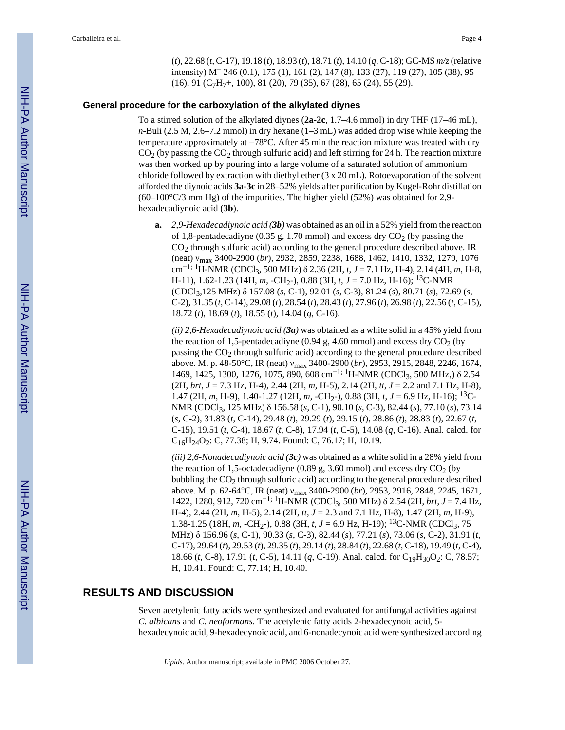(*t*), 22.68 (*t*, C-17), 19.18 (*t*), 18.93 (*t*), 18.71 (*t*), 14.10 (*q*, C-18); GC-MS *m/z* (relative intensity) M+ 246 (0.1), 175 (1), 161 (2), 147 (8), 133 (27), 119 (27), 105 (38), 95 (16), 91 (C7H7+, 100), 81 (20), 79 (35), 67 (28), 65 (24), 55 (29).

#### **General procedure for the carboxylation of the alkylated diynes**

To a stirred solution of the alkylated diynes (**2a**-**2c**, 1.7–4.6 mmol) in dry THF (17–46 mL), *n*-Buli (2.5 M, 2.6–7.2 mmol) in dry hexane (1–3 mL) was added drop wise while keeping the temperature approximately at −78°C. After 45 min the reaction mixture was treated with dry  $CO<sub>2</sub>$  (by passing the  $CO<sub>2</sub>$  through sulfuric acid) and left stirring for 24 h. The reaction mixture was then worked up by pouring into a large volume of a saturated solution of ammonium chloride followed by extraction with diethyl ether (3 x 20 mL). Rotoevaporation of the solvent afforded the diynoic acids **3a**-**3c** in 28–52% yields after purification by Kugel-Rohr distillation (60–100°C/3 mm Hg) of the impurities. The higher yield (52%) was obtained for 2,9 hexadecadiynoic acid (**3b**).

**a.** *2,9-Hexadecadiynoic acid (3b)* was obtained as an oil in a 52% yield from the reaction of 1,8-pentadecadiyne (0.35 g, 1.70 mmol) and excess dry  $CO<sub>2</sub>$  (by passing the  $CO<sub>2</sub>$  through sulfuric acid) according to the general procedure described above. IR (neat) νmax 3400-2900 (*br*), 2932, 2859, 2238, 1688, 1462, 1410, 1332, 1279, 1076 cm−1; 1H-NMR (CDCl3, 500 MHz) δ 2.36 (2H, *t*, *J* = 7.1 Hz, H-4), 2.14 (4H, *m*, H-8, H-11), 1.62-1.23 (14H, *m*, -CH2-), 0.88 (3H, *t*, *J* = 7.0 Hz, H-16); 13C-NMR (CDCl3,125 MHz) δ 157.08 (*s*, C-1), 92.01 (*s*, C-3), 81.24 (*s*), 80.71 (*s*), 72.69 (*s*, C-2), 31.35 (*t*, C-14), 29.08 (*t*), 28.54 (*t*), 28.43 (*t*), 27.96 (*t*), 26.98 (*t*), 22.56 (*t*, C-15), 18.72 (*t*), 18.69 (*t*), 18.55 (*t*), 14.04 (*q*, C-16).

*(ii) 2,6-Hexadecadiynoic acid (3a)* was obtained as a white solid in a 45% yield from the reaction of 1,5-pentadecadiyne (0.94 g, 4.60 mmol) and excess dry  $CO<sub>2</sub>$  (by passing the CO2 through sulfuric acid) according to the general procedure described above. M. p. 48-50°C, IR (neat) νmax 3400-2900 (*br*), 2953, 2915, 2848, 2246, 1674, 1469, 1425, 1300, 1276, 1075, 890, 608 cm−1; 1H-NMR (CDCl3, 500 MHz,) δ 2.54 (2H, *brt*, *J* = 7.3 Hz, H-4), 2.44 (2H, *m*, H-5), 2.14 (2H, *tt*, *J* = 2.2 and 7.1 Hz, H-8), 1.47 (2H, *m*, H-9), 1.40-1.27 (12H, *m*, -CH<sub>2</sub>-), 0.88 (3H, *t*, *J* = 6.9 Hz, H-16); <sup>13</sup>C-NMR (CDCl3, 125 MHz) δ 156.58 (*s*, C-1), 90.10 (*s*, C-3), 82.44 (*s*), 77.10 (*s*), 73.14 (*s*, C-2), 31.83 (*t*, C-14), 29.48 (*t*), 29.29 (*t*), 29.15 (*t*), 28.86 (*t*), 28.83 (*t*), 22.67 (*t*, C-15), 19.51 (*t*, C-4), 18.67 (*t*, C-8), 17.94 (*t*, C-5), 14.08 (*q*, C-16). Anal. calcd. for C16H24O2: C, 77.38; H, 9.74. Found: C, 76.17; H, 10.19.

*(iii) 2,6-Nonadecadiynoic acid (3c)* was obtained as a white solid in a 28% yield from the reaction of 1,5-octadecadiyne (0.89 g, 3.60 mmol) and excess dry  $CO<sub>2</sub>$  (by bubbling the CO<sub>2</sub> through sulfuric acid) according to the general procedure described above. M. p. 62-64°C, IR (neat) νmax 3400-2900 (*br*), 2953, 2916, 2848, 2245, 1671, 1422, 1280, 912, 720 cm−1; 1H-NMR (CDCl3, 500 MHz) δ 2.54 (2H, *brt*, *J* = 7.4 Hz, H-4), 2.44 (2H, *m*, H-5), 2.14 (2H, *tt*, *J* = 2.3 and 7.1 Hz, H-8), 1.47 (2H, *m*, H-9), 1.38-1.25 (18H, *m*, -CH<sub>2</sub>-), 0.88 (3H, *t*, *J* = 6.9 Hz, H-19); <sup>13</sup>C-NMR (CDCl<sub>3</sub>, 75 MHz) δ 156.96 (*s*, C-1), 90.33 (*s*, C-3), 82.44 (*s*), 77.21 (*s*), 73.06 (*s*, C-2), 31.91 (*t*, C-17), 29.64 (*t*), 29.53 (*t*), 29.35 (*t*), 29.14 (*t*), 28.84 (*t*), 22.68 (*t*, C-18), 19.49 (*t*, C-4), 18.66 (*t*, C-8), 17.91 (*t*, C-5), 14.11 (*q*, C-19). Anal. calcd. for C<sub>19</sub>H<sub>30</sub>O<sub>2</sub>: C, 78.57; H, 10.41. Found: C, 77.14; H, 10.40.

# **RESULTS AND DISCUSSION**

Seven acetylenic fatty acids were synthesized and evaluated for antifungal activities against *C. albicans* and *C. neoformans*. The acetylenic fatty acids 2-hexadecynoic acid, 5 hexadecynoic acid, 9-hexadecynoic acid, and 6-nonadecynoic acid were synthesized according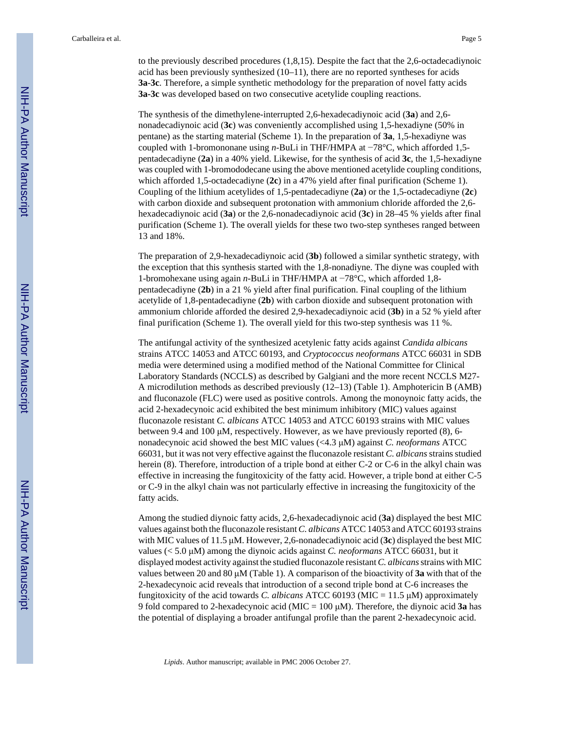to the previously described procedures (1,8,15). Despite the fact that the 2,6-octadecadiynoic acid has been previously synthesized (10–11), there are no reported syntheses for acids **3a**-**3c**. Therefore, a simple synthetic methodology for the preparation of novel fatty acids **3a-3c** was developed based on two consecutive acetylide coupling reactions.

The synthesis of the dimethylene-interrupted 2,6-hexadecadiynoic acid (**3a**) and 2,6 nonadecadiynoic acid (**3c**) was conveniently accomplished using 1,5-hexadiyne (50% in pentane) as the starting material (Scheme 1). In the preparation of **3a**, 1,5-hexadiyne was coupled with 1-bromononane using *n*-BuLi in THF/HMPA at −78°C, which afforded 1,5 pentadecadiyne (**2a**) in a 40% yield. Likewise, for the synthesis of acid **3c**, the 1,5-hexadiyne was coupled with 1-bromododecane using the above mentioned acetylide coupling conditions, which afforded 1,5-octadecadiyne (**2c**) in a 47% yield after final purification (Scheme 1). Coupling of the lithium acetylides of 1,5-pentadecadiyne (**2a**) or the 1,5-octadecadiyne (**2c**) with carbon dioxide and subsequent protonation with ammonium chloride afforded the 2,6 hexadecadiynoic acid (**3a**) or the 2,6-nonadecadiynoic acid (**3c**) in 28–45 % yields after final purification (Scheme 1). The overall yields for these two two-step syntheses ranged between 13 and 18%.

The preparation of 2,9-hexadecadiynoic acid (**3b**) followed a similar synthetic strategy, with the exception that this synthesis started with the 1,8-nonadiyne. The diyne was coupled with 1-bromohexane using again *n*-BuLi in THF/HMPA at −78°C, which afforded 1,8 pentadecadiyne (**2b**) in a 21 % yield after final purification. Final coupling of the lithium acetylide of 1,8-pentadecadiyne (**2b**) with carbon dioxide and subsequent protonation with ammonium chloride afforded the desired 2,9-hexadecadiynoic acid (**3b**) in a 52 % yield after final purification (Scheme 1). The overall yield for this two-step synthesis was 11 %.

The antifungal activity of the synthesized acetylenic fatty acids against *Candida albicans* strains ATCC 14053 and ATCC 60193, and *Cryptococcus neoformans* ATCC 66031 in SDB media were determined using a modified method of the National Committee for Clinical Laboratory Standards (NCCLS) as described by Galgiani and the more recent NCCLS M27- A microdilution methods as described previously (12–13) (Table 1). Amphotericin B (AMB) and fluconazole (FLC) were used as positive controls. Among the monoynoic fatty acids, the acid 2-hexadecynoic acid exhibited the best minimum inhibitory (MIC) values against fluconazole resistant *C. albicans* ATCC 14053 and ATCC 60193 strains with MIC values between 9.4 and 100  $\mu$ M, respectively. However, as we have previously reported (8), 6nonadecynoic acid showed the best MIC values (<4.3 μM) against *C. neoformans* ATCC 66031, but it was not very effective against the fluconazole resistant *C. albicans* strains studied herein (8). Therefore, introduction of a triple bond at either C-2 or C-6 in the alkyl chain was effective in increasing the fungitoxicity of the fatty acid. However, a triple bond at either C-5 or C-9 in the alkyl chain was not particularly effective in increasing the fungitoxicity of the fatty acids.

Among the studied diynoic fatty acids, 2,6-hexadecadiynoic acid (**3a**) displayed the best MIC values against both the fluconazole resistant *C. albicans* ATCC 14053 and ATCC 60193 strains with MIC values of 11.5 μM. However, 2,6-nonadecadiynoic acid (**3c**) displayed the best MIC values (< 5.0 μM) among the diynoic acids against *C. neoformans* ATCC 66031, but it displayed modest activity against the studied fluconazole resistant *C. albicans* strains with MIC values between 20 and 80 μM (Table 1). A comparison of the bioactivity of **3a** with that of the 2-hexadecynoic acid reveals that introduction of a second triple bond at C-6 increases the fungitoxicity of the acid towards *C. albicans* ATCC 60193 (MIC = 11.5 μM) approximately 9 fold compared to 2-hexadecynoic acid (MIC = 100 μM). Therefore, the diynoic acid **3a** has the potential of displaying a broader antifungal profile than the parent 2-hexadecynoic acid.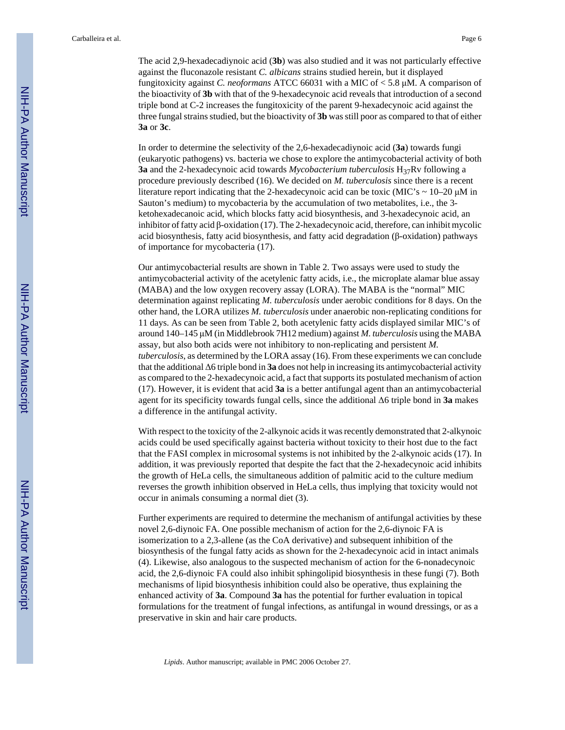The acid 2,9-hexadecadiynoic acid (**3b**) was also studied and it was not particularly effective against the fluconazole resistant *C. albicans* strains studied herein, but it displayed fungitoxicity against *C. neoformans* ATCC 66031 with a MIC of < 5.8 μM. A comparison of the bioactivity of **3b** with that of the 9-hexadecynoic acid reveals that introduction of a second triple bond at C-2 increases the fungitoxicity of the parent 9-hexadecynoic acid against the three fungal strains studied, but the bioactivity of **3b** was still poor as compared to that of either **3a** or **3c**.

In order to determine the selectivity of the 2,6-hexadecadiynoic acid (**3a**) towards fungi (eukaryotic pathogens) vs. bacteria we chose to explore the antimycobacterial activity of both **3a** and the 2-hexadecynoic acid towards *Mycobacterium tuberculosis* H<sub>37</sub>Rv following a procedure previously described (16). We decided on *M. tuberculosis* since there is a recent literature report indicating that the 2-hexadecynoic acid can be toxic (MIC's  $\sim$  10–20  $\mu$ M in Sauton's medium) to mycobacteria by the accumulation of two metabolites, i.e., the 3 ketohexadecanoic acid, which blocks fatty acid biosynthesis, and 3-hexadecynoic acid, an inhibitor of fatty acid β-oxidation (17). The 2-hexadecynoic acid, therefore, can inhibit mycolic acid biosynthesis, fatty acid biosynthesis, and fatty acid degradation (β-oxidation) pathways of importance for mycobacteria (17).

Our antimycobacterial results are shown in Table 2. Two assays were used to study the antimycobacterial activity of the acetylenic fatty acids, i.e., the microplate alamar blue assay (MABA) and the low oxygen recovery assay (LORA). The MABA is the "normal" MIC determination against replicating *M. tuberculosis* under aerobic conditions for 8 days. On the other hand, the LORA utilizes *M. tuberculosis* under anaerobic non-replicating conditions for 11 days. As can be seen from Table 2, both acetylenic fatty acids displayed similar MIC's of around 140–145 μM (in Middlebrook 7H12 medium) against *M. tuberculosis* using the MABA assay, but also both acids were not inhibitory to non-replicating and persistent *M. tuberculosis*, as determined by the LORA assay (16). From these experiments we can conclude that the additional Δ6 triple bond in **3a** does not help in increasing its antimycobacterial activity as compared to the 2-hexadecynoic acid, a fact that supports its postulated mechanism of action (17). However, it is evident that acid **3a** is a better antifungal agent than an antimycobacterial agent for its specificity towards fungal cells, since the additional Δ6 triple bond in **3a** makes a difference in the antifungal activity.

With respect to the toxicity of the 2-alkynoic acids it was recently demonstrated that 2-alkynoic acids could be used specifically against bacteria without toxicity to their host due to the fact that the FASI complex in microsomal systems is not inhibited by the 2-alkynoic acids (17). In addition, it was previously reported that despite the fact that the 2-hexadecynoic acid inhibits the growth of HeLa cells, the simultaneous addition of palmitic acid to the culture medium reverses the growth inhibition observed in HeLa cells, thus implying that toxicity would not occur in animals consuming a normal diet (3).

Further experiments are required to determine the mechanism of antifungal activities by these novel 2,6-diynoic FA. One possible mechanism of action for the 2,6-diynoic FA is isomerization to a 2,3-allene (as the CoA derivative) and subsequent inhibition of the biosynthesis of the fungal fatty acids as shown for the 2-hexadecynoic acid in intact animals (4). Likewise, also analogous to the suspected mechanism of action for the 6-nonadecynoic acid, the 2,6-diynoic FA could also inhibit sphingolipid biosynthesis in these fungi (7). Both mechanisms of lipid biosynthesis inhibition could also be operative, thus explaining the enhanced activity of **3a**. Compound **3a** has the potential for further evaluation in topical formulations for the treatment of fungal infections, as antifungal in wound dressings, or as a preservative in skin and hair care products.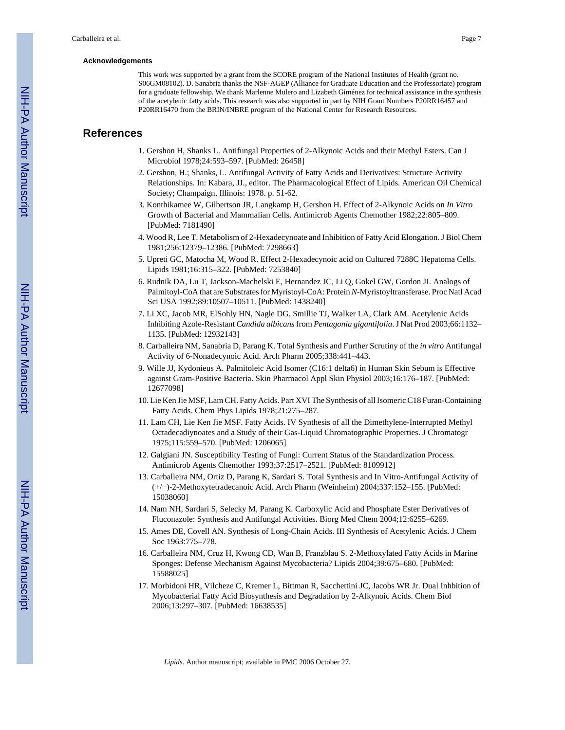#### **Acknowledgements**

This work was supported by a grant from the SCORE program of the National Institutes of Health (grant no. S06GM08102). D. Sanabria thanks the NSF-AGEP (Alliance for Graduate Education and the Professoriate) program for a graduate fellowship. We thank Marlenne Mulero and Lizabeth Giménez for technical assistance in the synthesis of the acetylenic fatty acids. This research was also supported in part by NIH Grant Numbers P20RR16457 and P20RR16470 from the BRIN/INBRE program of the National Center for Research Resources.

## **References**

- 1. Gershon H, Shanks L. Antifungal Properties of 2-Alkynoic Acids and their Methyl Esters. Can J Microbiol 1978;24:593–597. [PubMed: 26458]
- 2. Gershon, H.; Shanks, L. Antifungal Activity of Fatty Acids and Derivatives: Structure Activity Relationships. In: Kabara, JJ., editor. The Pharmacological Effect of Lipids. American Oil Chemical Society; Champaign, Illinois: 1978. p. 51-62.
- 3. Konthikamee W, Gilbertson JR, Langkamp H, Gershon H. Effect of 2-Alkynoic Acids on *In Vitro* Growth of Bacterial and Mammalian Cells. Antimicrob Agents Chemother 1982;22:805–809. [PubMed: 7181490]
- 4. Wood R, Lee T. Metabolism of 2-Hexadecynoate and Inhibition of Fatty Acid Elongation. J Biol Chem 1981;256:12379–12386. [PubMed: 7298663]
- 5. Upreti GC, Matocha M, Wood R. Effect 2-Hexadecynoic acid on Cultured 7288C Hepatoma Cells. Lipids 1981;16:315–322. [PubMed: 7253840]
- 6. Rudnik DA, Lu T, Jackson-Machelski E, Hernandez JC, Li Q, Gokel GW, Gordon JI. Analogs of Palmitoyl-CoA that are Substrates for Myristoyl-CoA: Protein *N*-Myristoyltransferase. Proc Natl Acad Sci USA 1992;89:10507–10511. [PubMed: 1438240]
- 7. Li XC, Jacob MR, ElSohly HN, Nagle DG, Smillie TJ, Walker LA, Clark AM. Acetylenic Acids Inhibiting Azole-Resistant *Candida albicans* from *Pentagonia gigantifolia*. J Nat Prod 2003;66:1132– 1135. [PubMed: 12932143]
- 8. Carballeira NM, Sanabria D, Parang K. Total Synthesis and Further Scrutiny of the *in vitro* Antifungal Activity of 6-Nonadecynoic Acid. Arch Pharm 2005;338:441–443.
- 9. Wille JJ, Kydonieus A. Palmitoleic Acid Isomer (C16:1 delta6) in Human Skin Sebum is Effective against Gram-Positive Bacteria. Skin Pharmacol Appl Skin Physiol 2003;16:176–187. [PubMed: 12677098]
- 10. Lie Ken Jie MSF, Lam CH. Fatty Acids. Part XVI The Synthesis of all Isomeric C18 Furan-Containing Fatty Acids. Chem Phys Lipids 1978;21:275–287.
- 11. Lam CH, Lie Ken Jie MSF. Fatty Acids. IV Synthesis of all the Dimethylene-Interrupted Methyl Octadecadiynoates and a Study of their Gas-Liquid Chromatographic Properties. J Chromatogr 1975;115:559–570. [PubMed: 1206065]
- 12. Galgiani JN. Susceptibility Testing of Fungi: Current Status of the Standardization Process. Antimicrob Agents Chemother 1993;37:2517–2521. [PubMed: 8109912]
- 13. Carballeira NM, Ortiz D, Parang K, Sardari S. Total Synthesis and In Vitro-Antifungal Activity of (+/−)-2-Methoxytetradecanoic Acid. Arch Pharm (Weinheim) 2004;337:152–155. [PubMed: 15038060]
- 14. Nam NH, Sardari S, Selecky M, Parang K. Carboxylic Acid and Phosphate Ester Derivatives of Fluconazole: Synthesis and Antifungal Activities. Biorg Med Chem 2004;12:6255–6269.
- 15. Ames DE, Covell AN. Synthesis of Long-Chain Acids. III Synthesis of Acetylenic Acids. J Chem Soc 1963:775–778.
- 16. Carballeira NM, Cruz H, Kwong CD, Wan B, Franzblau S. 2-Methoxylated Fatty Acids in Marine Sponges: Defense Mechanism Against Mycobacteria? Lipids 2004;39:675–680. [PubMed: 15588025]
- 17. Morbidoni HR, Vilcheze C, Kremer L, Bittman R, Sacchettini JC, Jacobs WR Jr. Dual Inhbition of Mycobacterial Fatty Acid Biosynthesis and Degradation by 2-Alkynoic Acids. Chem Biol 2006;13:297–307. [PubMed: 16638535]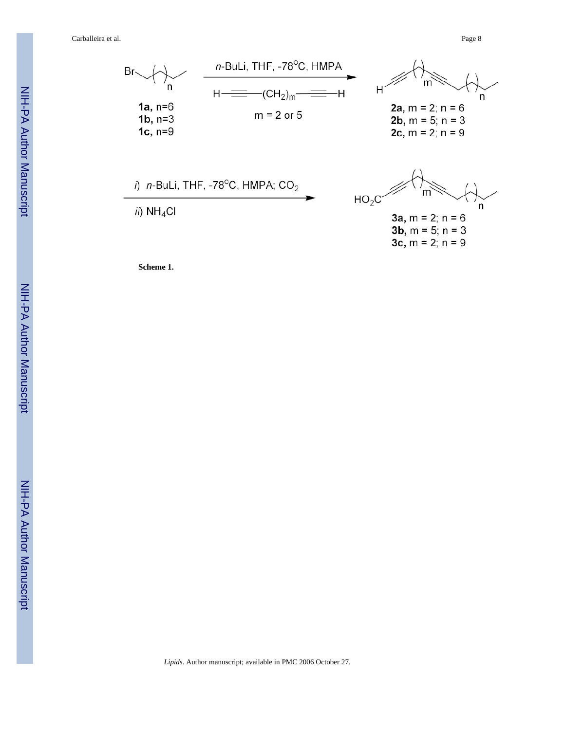Carballeira et al. Page 8



**Scheme 1.**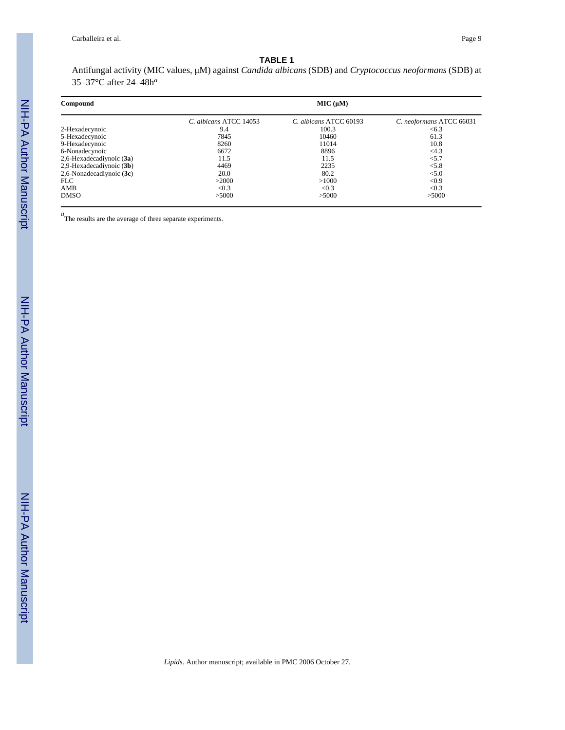#### **TABLE 1**

Antifungal activity (MIC values, μM) against *Candida albicans* (SDB) and *Cryptococcus neoformans* (SDB) at 35–37°C after 24–48h*<sup>a</sup>*

| Compound                   | MIC (µM)               |                        |                          |
|----------------------------|------------------------|------------------------|--------------------------|
|                            | C. albicans ATCC 14053 | C. albicans ATCC 60193 | C. neoformans ATCC 66031 |
| 2-Hexadecynoic             | 9.4                    | 100.3                  | <6.3                     |
| 5-Hexadecynoic             | 7845                   | 10460                  | 61.3                     |
| 9-Hexadecynoic             | 8260                   | 11014                  | 10.8                     |
| 6-Nonadecynoic             | 6672                   | 8896                   | <4.3                     |
| 2,6-Hexadecadiynoic (3a)   | 11.5                   | 11.5                   | < 5.7                    |
| 2,9-Hexadecadiynoic (3b)   | 4469                   | 2235                   | < 5.8                    |
| 2,6-Nonadecadiynoic $(3c)$ | 20.0                   | 80.2                   | < 5.0                    |
| FLC                        | >2000                  | >1000                  | < 0.9                    |
| AMB                        | < 0.3                  | < 0.3                  | < 0.3                    |
| <b>DMSO</b>                | >5000                  | >5000                  | >5000                    |

*a*The results are the average of three separate experiments.